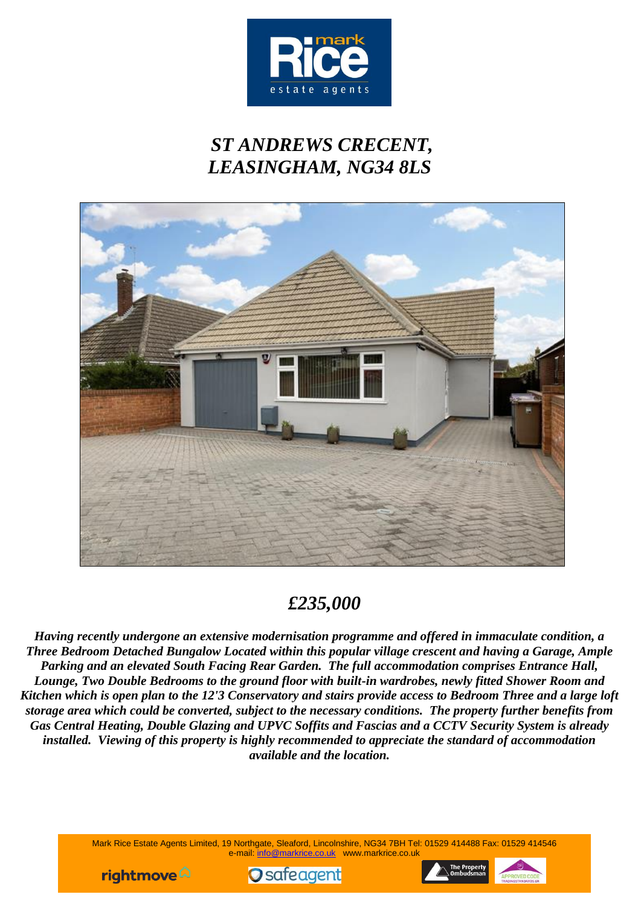

# *ST ANDREWS CRECENT, LEASINGHAM, NG34 8LS*



# *£235,000*

*Having recently undergone an extensive modernisation programme and offered in immaculate condition, a Three Bedroom Detached Bungalow Located within this popular village crescent and having a Garage, Ample Parking and an elevated South Facing Rear Garden. The full accommodation comprises Entrance Hall, Lounge, Two Double Bedrooms to the ground floor with built-in wardrobes, newly fitted Shower Room and Kitchen which is open plan to the 12'3 Conservatory and stairs provide access to Bedroom Three and a large loft storage area which could be converted, subject to the necessary conditions. The property further benefits from Gas Central Heating, Double Glazing and UPVC Soffits and Fascias and a CCTV Security System is already installed. Viewing of this property is highly recommended to appreciate the standard of accommodation available and the location.*

> Mark Rice Estate Agents Limited, 19 Northgate, Sleaford, Lincolnshire, NG34 7BH Tel: 01529 414488 Fax: 01529 414546 e-mail: [info@markrice.co.uk](mailto:info@markrice.co.uk) www.markrice.co.uk





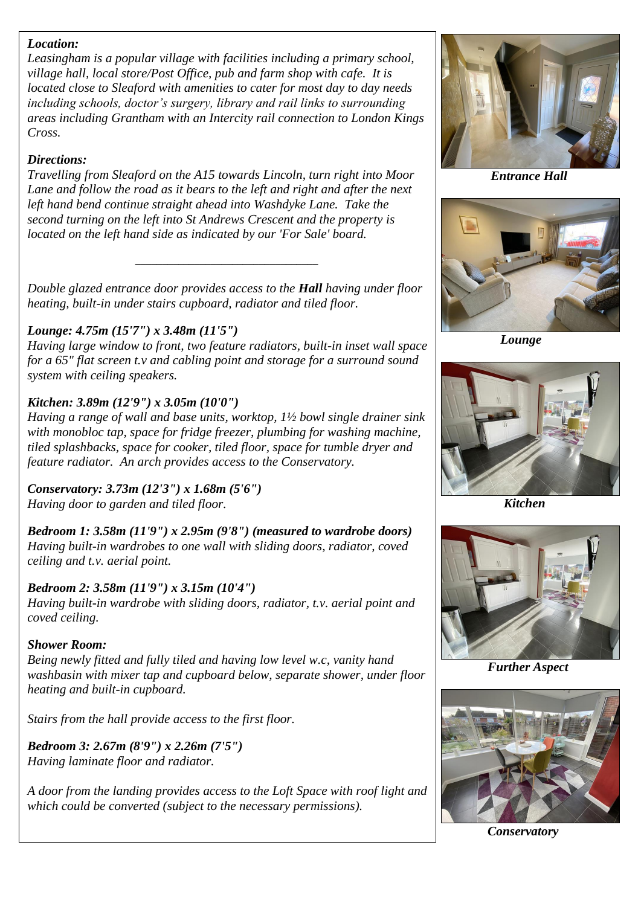#### *Location:*

*Leasingham is a popular village with facilities including a primary school, village hall, local store/Post Office, pub and farm shop with cafe. It is located close to Sleaford with amenities to cater for most day to day needs including schools, doctor's surgery, library and rail links to surrounding areas including Grantham with an Intercity rail connection to London Kings Cross.*

### *Directions:*

*Travelling from Sleaford on the A15 towards Lincoln, turn right into Moor Lane and follow the road as it bears to the left and right and after the next left hand bend continue straight ahead into Washdyke Lane. Take the second turning on the left into St Andrews Crescent and the property is located on the left hand side as indicated by our 'For Sale' board.*

*Double glazed entrance door provides access to the Hall having under floor heating, built-in under stairs cupboard, radiator and tiled floor.*

*\_\_\_\_\_\_\_\_\_\_\_\_\_\_\_\_\_\_\_\_\_\_\_\_\_\_\_\_\_\_\_\_\_\_*

# *Lounge: 4.75m (15'7") x 3.48m (11'5")*

*Having large window to front, two feature radiators, built-in inset wall space for a 65" flat screen t.v and cabling point and storage for a surround sound system with ceiling speakers.*

# *Kitchen: 3.89m (12'9") x 3.05m (10'0")*

*Having a range of wall and base units, worktop, 1½ bowl single drainer sink with monobloc tap, space for fridge freezer, plumbing for washing machine, tiled splashbacks, space for cooker, tiled floor, space for tumble dryer and feature radiator. An arch provides access to the Conservatory.*

*Conservatory: 3.73m (12'3") x 1.68m (5'6") Having door to garden and tiled floor.*

*Bedroom 1: 3.58m (11'9") x 2.95m (9'8") (measured to wardrobe doors) Having built-in wardrobes to one wall with sliding doors, radiator, coved ceiling and t.v. aerial point.*

# *Bedroom 2: 3.58m (11'9") x 3.15m (10'4")*

*Having built-in wardrobe with sliding doors, radiator, t.v. aerial point and coved ceiling.*

### *Shower Room:*

*Being newly fitted and fully tiled and having low level w.c, vanity hand washbasin with mixer tap and cupboard below, separate shower, under floor heating and built-in cupboard.*

*Stairs from the hall provide access to the first floor.*

*Bedroom 3: 2.67m (8'9") x 2.26m (7'5") Having laminate floor and radiator.*

*A door from the landing provides access to the Loft Space with roof light and which could be converted (subject to the necessary permissions).*



 *Entrance Hall*



 *Lounge*



 *Kitchen*



*Further Aspect*



*Conservatory*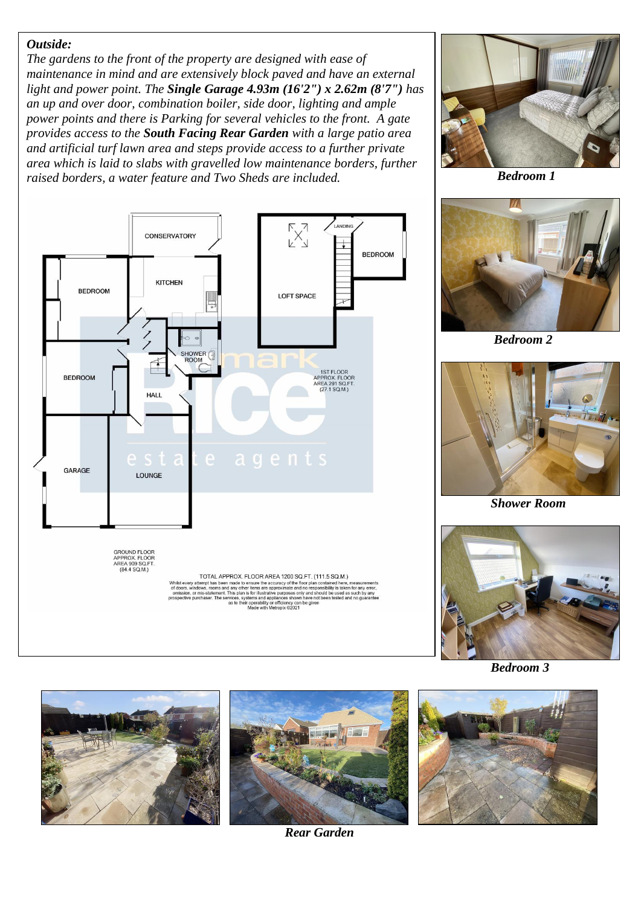#### *Outside:*

*The gardens to the front of the property are designed with ease of maintenance in mind and are extensively block paved and have an external light and power point. The Single Garage 4.93m (16'2") x 2.62m (8'7") has an up and over door, combination boiler, side door, lighting and ample power points and there is Parking for several vehicles to the front. A gate provides access to the South Facing Rear Garden with a large patio area and artificial turf lawn area and steps provide access to a further private area which is laid to slabs with gravelled low maintenance borders, further raised borders, a water feature and Two Sheds are included.*



 *Bedroom 1*



 *Bedroom 2*



 *Shower Room*



 *Bedroom 3*





*Rear Garden*